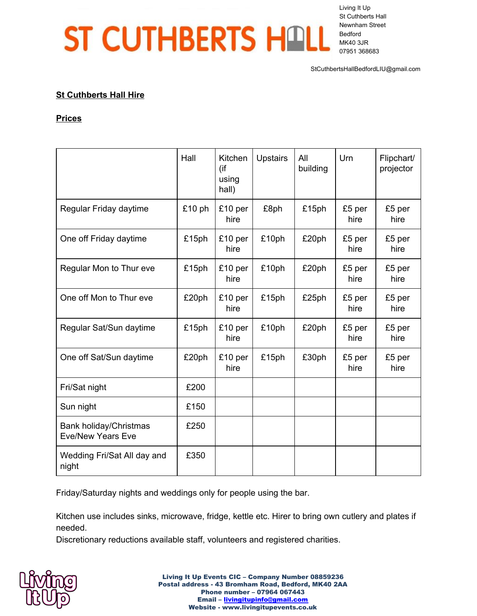## ST CUTHBERTS HALL

Living It Up St Cuthberts Hall Newnham Street Bedford MK40 3JR 07951 368683

StCuthbertsHallBedfordLIU@gmail.com

## **St Cuthberts Hall Hire**

## **Prices**

|                                                    | Hall   | Kitchen<br>(if<br>using<br>hall) | <b>Upstairs</b> | All<br>building | Urn            | Flipchart/<br>projector |
|----------------------------------------------------|--------|----------------------------------|-----------------|-----------------|----------------|-------------------------|
| Regular Friday daytime                             | £10 ph | £10 per<br>hire                  | £8ph            | £15ph           | £5 per<br>hire | £5 per<br>hire          |
| One off Friday daytime                             | £15ph  | £10 per<br>hire                  | £10ph           | £20ph           | £5 per<br>hire | £5 per<br>hire          |
| Regular Mon to Thur eve                            | £15ph  | £10 per<br>hire                  | £10ph           | £20ph           | £5 per<br>hire | £5 per<br>hire          |
| One off Mon to Thur eve                            | £20ph  | £10 per<br>hire                  | £15ph           | £25ph           | £5 per<br>hire | £5 per<br>hire          |
| Regular Sat/Sun daytime                            | £15ph  | £10 per<br>hire                  | £10ph           | £20ph           | £5 per<br>hire | £5 per<br>hire          |
| One off Sat/Sun daytime                            | £20ph  | £10 per<br>hire                  | £15ph           | £30ph           | £5 per<br>hire | £5 per<br>hire          |
| Fri/Sat night                                      | £200   |                                  |                 |                 |                |                         |
| Sun night                                          | £150   |                                  |                 |                 |                |                         |
| Bank holiday/Christmas<br><b>Eve/New Years Eve</b> | £250   |                                  |                 |                 |                |                         |
| Wedding Fri/Sat All day and<br>night               | £350   |                                  |                 |                 |                |                         |

Friday/Saturday nights and weddings only for people using the bar.

Kitchen use includes sinks, microwave, fridge, kettle etc. Hirer to bring own cutlery and plates if needed.

Discretionary reductions available staff, volunteers and registered charities.



Living It Up Events CIC – Company Number 08859236 Postal address - 43 Bromham Road, Bedford, MK40 2AA Phone number – 07964 067443 Email – [livingitupinfo@gmail.com](mailto:livingitupinfo@gmail.com) Website - www.livingitupevents.co.uk